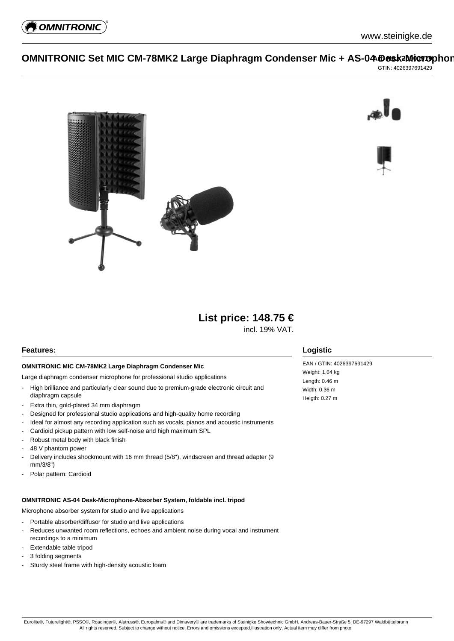

# **OMNITRONIC Set MIC CM-78MK2 Large Diaphragm Condenser Mic + AS-04 Desk2Microphor**

GTIN: 4026397691429







# **List price: 148.75 €**

incl. 19% VAT.

## **Features:**

#### **OMNITRONIC MIC CM-78MK2 Large Diaphragm Condenser Mic**

Large diaphragm condenser microphone for professional studio applications

- High brilliance and particularly clear sound due to premium-grade electronic circuit and diaphragm capsule
- Extra thin, gold-plated 34 mm diaphragm
- Designed for professional studio applications and high-quality home recording
- Ideal for almost any recording application such as vocals, pianos and acoustic instruments
- Cardioid pickup pattern with low self-noise and high maximum SPL
- Robust metal body with black finish
- 48 V phantom power
- Delivery includes shockmount with 16 mm thread (5/8"), windscreen and thread adapter (9 mm/3/8")
- Polar pattern: Cardioid

#### **OMNITRONIC AS-04 Desk-Microphone-Absorber System, foldable incl. tripod**

Microphone absorber system for studio and live applications

- Portable absorber/diffusor for studio and live applications
- Reduces unwanted room reflections, echoes and ambient noise during vocal and instrument recordings to a minimum
- Extendable table tripod
- 3 folding segments
- Sturdy steel frame with high-density acoustic foam

## **Logistic**

EAN / GTIN: 4026397691429 Weight: 1,64 kg Length: 0.46 m Width: 0.36 m Heigth: 0.27 m